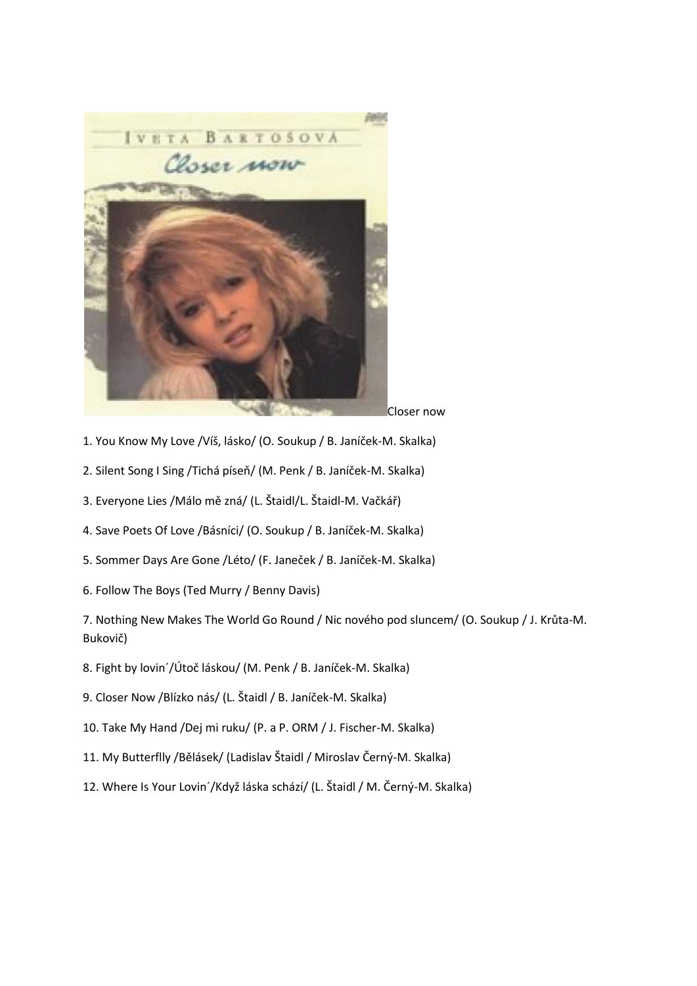

Closer now

- 1. You Know My Love /Víš, lásko/ (O. Soukup / B. Janíček-M. Skalka)
- 2. Silent Song I Sing /Tichá píseň/ (M. Penk / B. Janíček-M. Skalka)
- 3. Everyone Lies /Málo mě zná/ (L. Štaidl/L. Štaidl-M. Vačkář)
- 4. Save Poets Of Love /Básníci/ (O. Soukup / B. Janíček-M. Skalka)
- 5. Sommer Days Are Gone /Léto/ (F. Janeček / B. Janíček-M. Skalka)
- 6. Follow The Boys (Ted Murry / Benny Davis)

7. Nothing New Makes The World Go Round / Nic nového pod sluncem/ (O. Soukup / J. Krůta-M. Bukovič)

- 8. Fight by lovin´/Útoč láskou/ (M. Penk / B. Janíček-M. Skalka)
- 9. Closer Now /Blízko nás/ (L. Štaidl / B. Janíček-M. Skalka)
- 10. Take My Hand /Dej mi ruku/ (P. a P. ORM / J. Fischer-M. Skalka)
- 11. My Butterflly /Bělásek/ (Ladislav Štaidl / Miroslav Černý-M. Skalka)
- 12. Where Is Your Lovin´/Když láska schází/ (L. Štaidl / M. Černý-M. Skalka)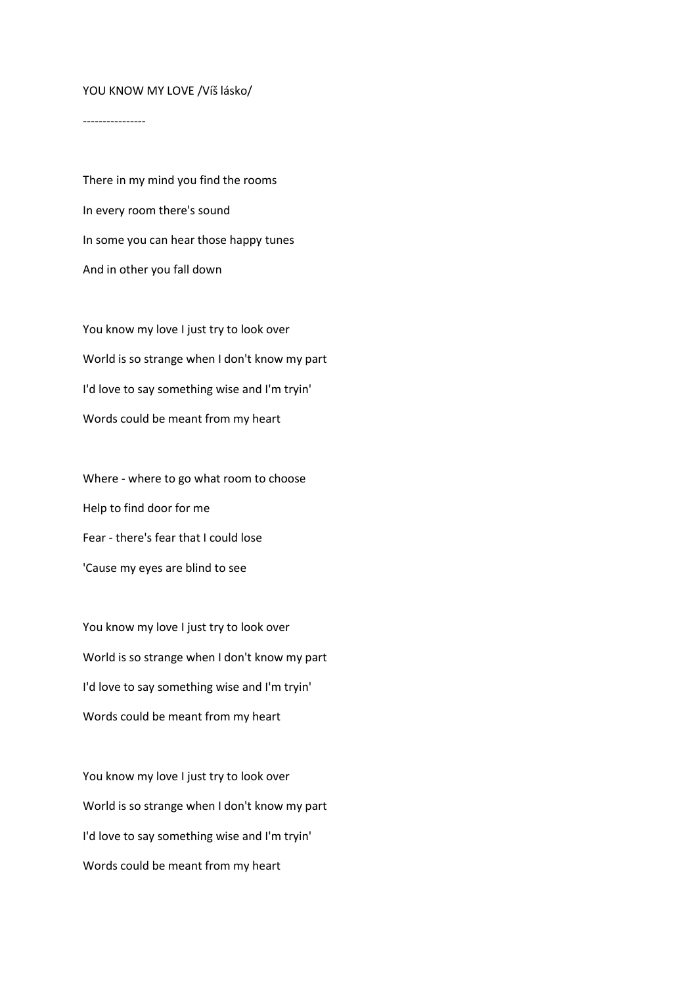### YOU KNOW MY LOVE /Víš lásko/

----------------

There in my mind you find the rooms In every room there's sound In some you can hear those happy tunes And in other you fall down

You know my love I just try to look over World is so strange when I don't know my part I'd love to say something wise and I'm tryin' Words could be meant from my heart

Where - where to go what room to choose Help to find door for me Fear - there's fear that I could lose 'Cause my eyes are blind to see

You know my love I just try to look over World is so strange when I don't know my part I'd love to say something wise and I'm tryin' Words could be meant from my heart

You know my love I just try to look over World is so strange when I don't know my part I'd love to say something wise and I'm tryin' Words could be meant from my heart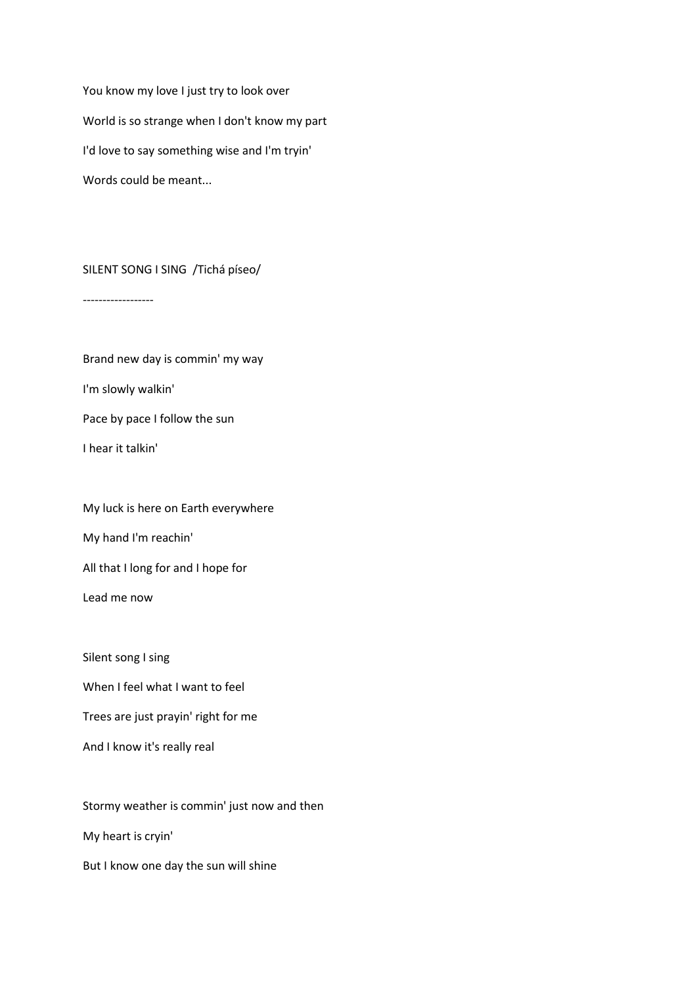You know my love I just try to look over World is so strange when I don't know my part I'd love to say something wise and I'm tryin' Words could be meant...

SILENT SONG I SING /Tichá píseo/

------------------

Brand new day is commin' my way I'm slowly walkin' Pace by pace I follow the sun I hear it talkin'

My luck is here on Earth everywhere My hand I'm reachin' All that I long for and I hope for Lead me now

Silent song I sing When I feel what I want to feel Trees are just prayin' right for me And I know it's really real

Stormy weather is commin' just now and then My heart is cryin' But I know one day the sun will shine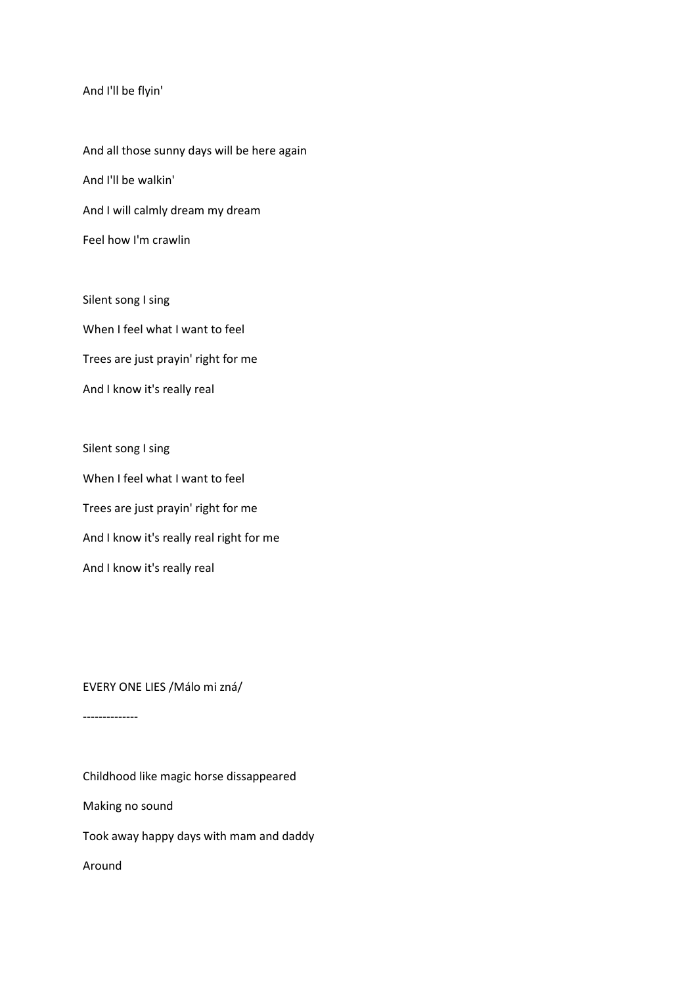### And I'll be flyin'

And all those sunny days will be here again And I'll be walkin' And I will calmly dream my dream Feel how I'm crawlin

Silent song I sing When I feel what I want to feel Trees are just prayin' right for me And I know it's really real

Silent song I sing When I feel what I want to feel Trees are just prayin' right for me And I know it's really real right for me And I know it's really real

EVERY ONE LIES /Málo mi zná/

--------------

Childhood like magic horse dissappeared Making no sound Took away happy days with mam and daddy Around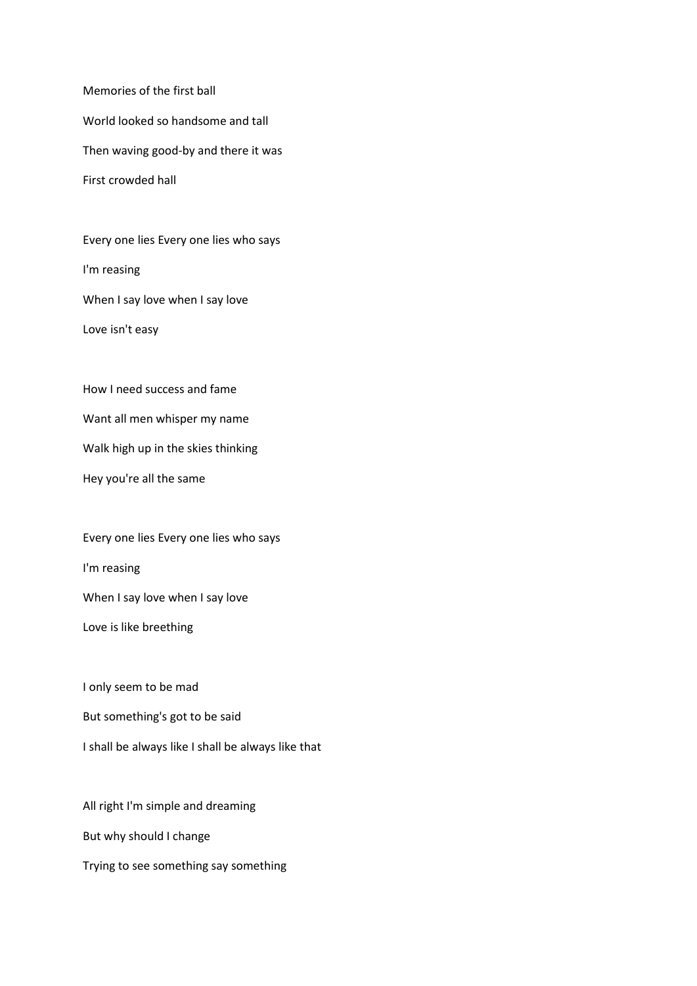Memories of the first ball World looked so handsome and tall Then waving good-by and there it was First crowded hall

Every one lies Every one lies who says I'm reasing When I say love when I say love Love isn't easy

Walk high up in the skies thinking Hey you're all the same Every one lies Every one lies who says

How I need success and fame

Want all men whisper my name

I'm reasing

When I say love when I say love

Love is like breething

I only seem to be mad

But something's got to be said

I shall be always like I shall be always like that

All right I'm simple and dreaming

But why should I change

Trying to see something say something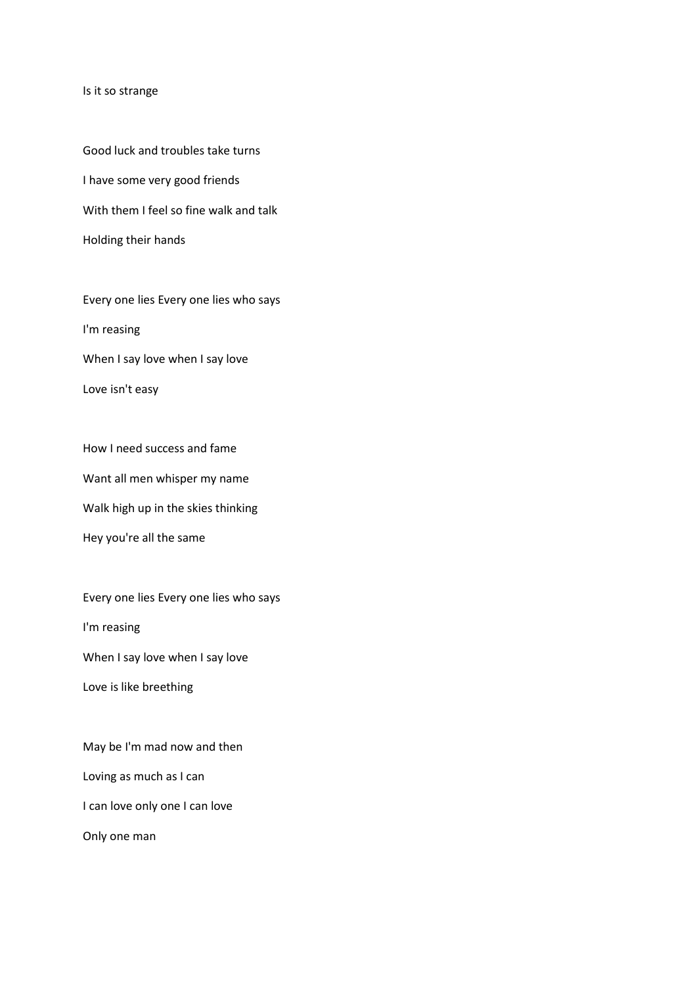#### Is it so strange

Good luck and troubles take turns I have some very good friends With them I feel so fine walk and talk Holding their hands

Every one lies Every one lies who says I'm reasing When I say love when I say love Love isn't easy

How I need success and fame Want all men whisper my name Walk high up in the skies thinking Hey you're all the same

Every one lies Every one lies who says

I'm reasing

When I say love when I say love

Love is like breething

May be I'm mad now and then Loving as much as I can I can love only one I can love

Only one man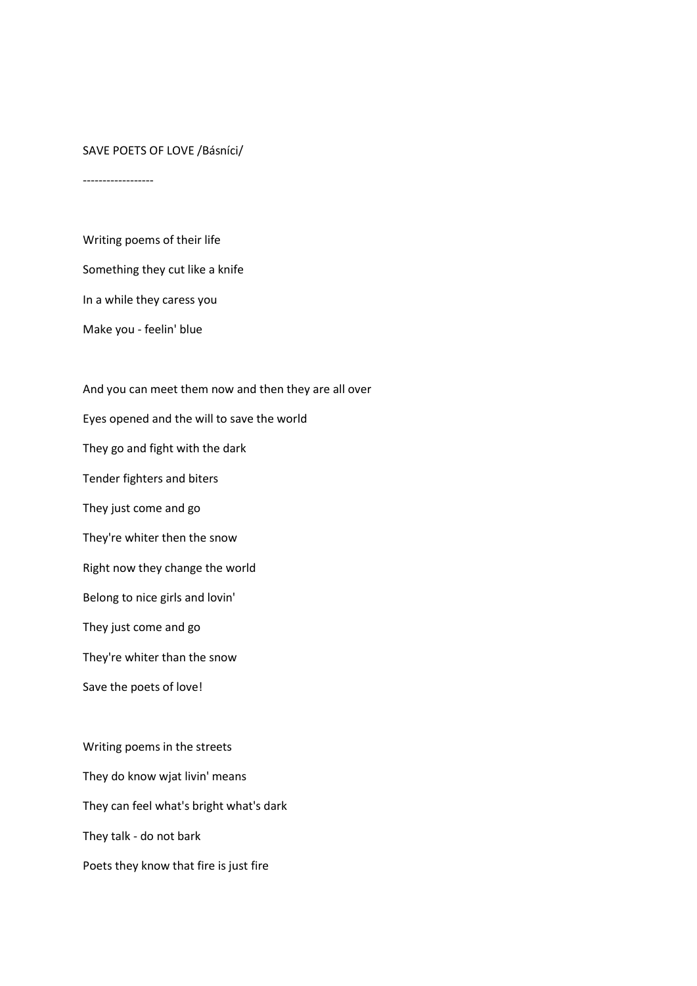### SAVE POETS OF LOVE /Básníci/

------------------

Writing poems of their life Something they cut like a knife In a while they caress you Make you - feelin' blue

And you can meet them now and then they are all over Eyes opened and the will to save the world They go and fight with the dark Tender fighters and biters They just come and go They're whiter then the snow Right now they change the world Belong to nice girls and lovin' They just come and go They're whiter than the snow Save the poets of love! Writing poems in the streets They do know wjat livin' means They can feel what's bright what's dark

They talk - do not bark Poets they know that fire is just fire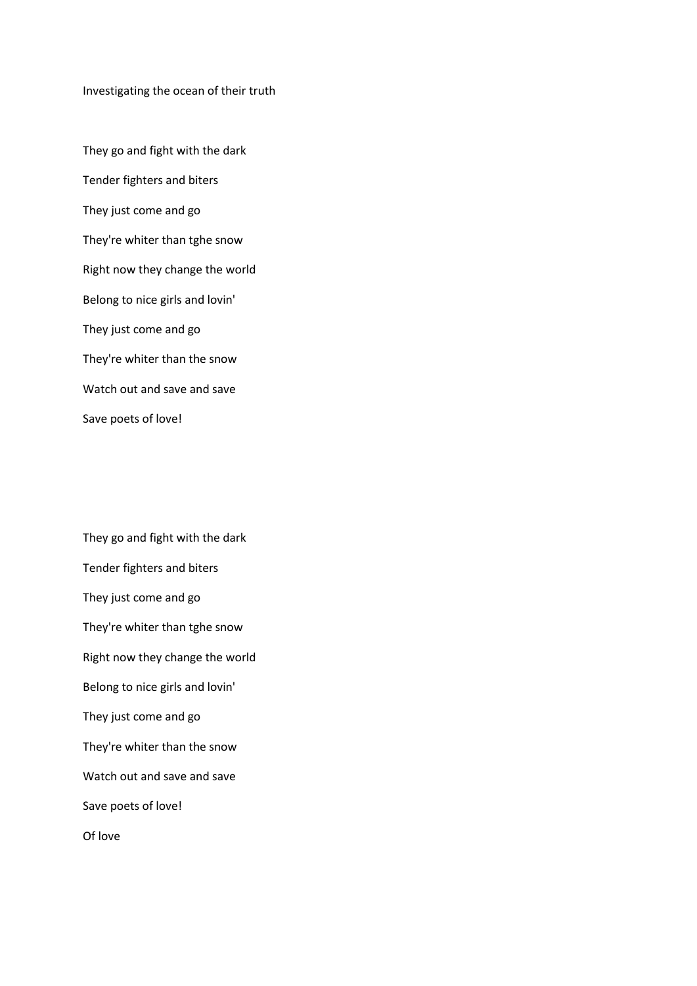Investigating the ocean of their truth

They go and fight with the dark Tender fighters and biters They just come and go They're whiter than tghe snow Right now they change the world Belong to nice girls and lovin' They just come and go They're whiter than the snow Watch out and save and save Save poets of love!

They go and fight with the dark Tender fighters and biters They just come and go They're whiter than tghe snow Right now they change the world Belong to nice girls and lovin' They just come and go They're whiter than the snow Watch out and save and save Save poets of love! Of love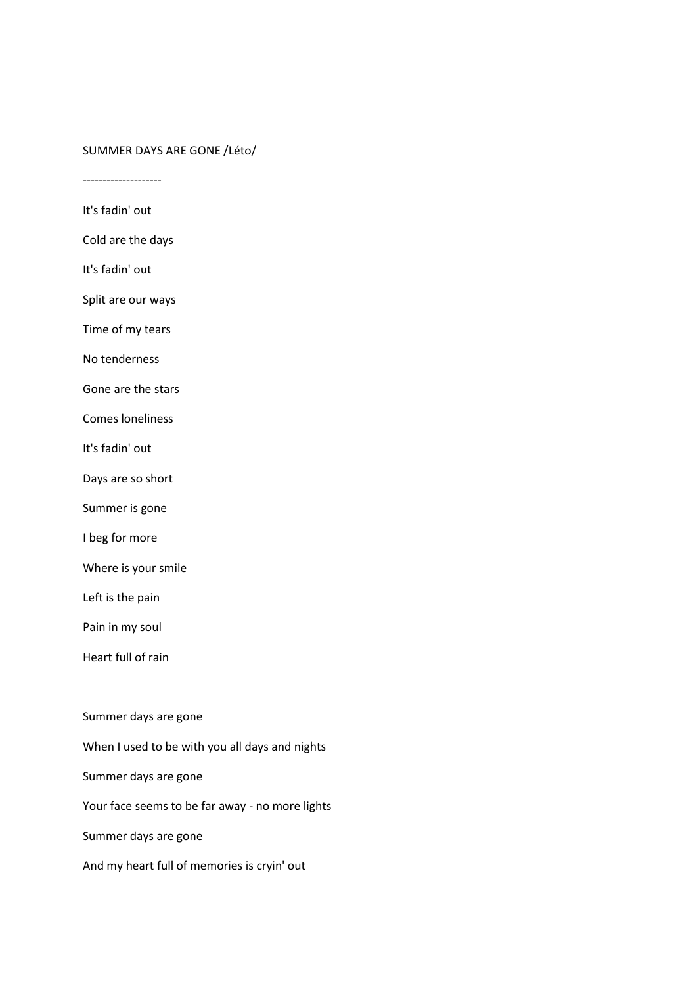## SUMMER DAYS ARE GONE /Léto/

--------------------

It's fadin' out

Cold are the days

It's fadin' out

Split are our ways

Time of my tears

No tenderness

Gone are the stars

Comes loneliness

It's fadin' out

Days are so short

Summer is gone

I beg for more

Where is your smile

Left is the pain

Pain in my soul

Heart full of rain

Summer days are gone

When I used to be with you all days and nights

Summer days are gone

Your face seems to be far away - no more lights

Summer days are gone

And my heart full of memories is cryin' out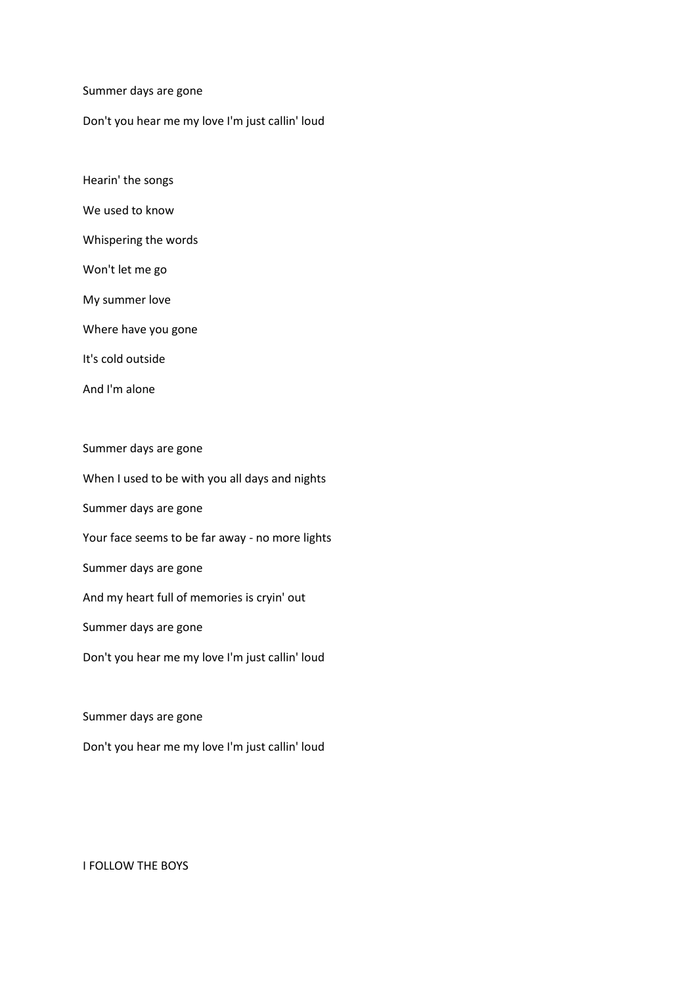### Summer days are gone

Don't you hear me my love I'm just callin' loud

Hearin' the songs

We used to know

Whispering the words

Won't let me go

My summer love

Where have you gone

It's cold outside

And I'm alone

Summer days are gone

When I used to be with you all days and nights

Summer days are gone

Your face seems to be far away - no more lights

Summer days are gone

And my heart full of memories is cryin' out

Summer days are gone

Don't you hear me my love I'm just callin' loud

Summer days are gone

Don't you hear me my love I'm just callin' loud

# I FOLLOW THE BOYS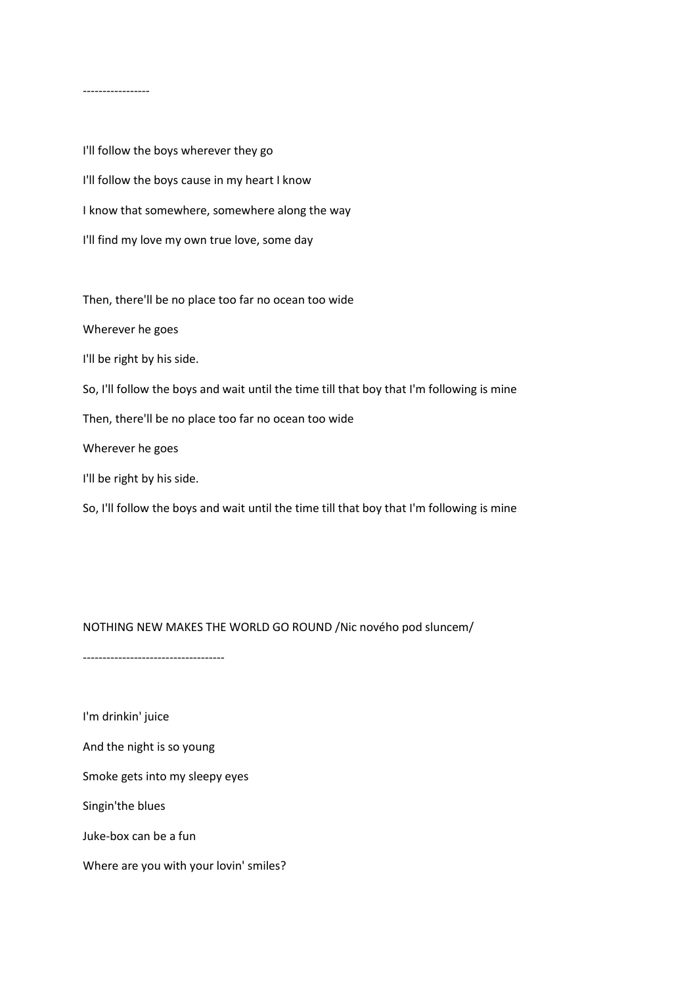I'll follow the boys wherever they go I'll follow the boys cause in my heart I know I know that somewhere, somewhere along the way I'll find my love my own true love, some day

Then, there'll be no place too far no ocean too wide

Wherever he goes

-----------------

I'll be right by his side.

So, I'll follow the boys and wait until the time till that boy that I'm following is mine

Then, there'll be no place too far no ocean too wide

Wherever he goes

I'll be right by his side.

So, I'll follow the boys and wait until the time till that boy that I'm following is mine

NOTHING NEW MAKES THE WORLD GO ROUND /Nic nového pod sluncem/

------------------------------------

I'm drinkin' juice

And the night is so young

Smoke gets into my sleepy eyes

Singin'the blues

Juke-box can be a fun

Where are you with your lovin' smiles?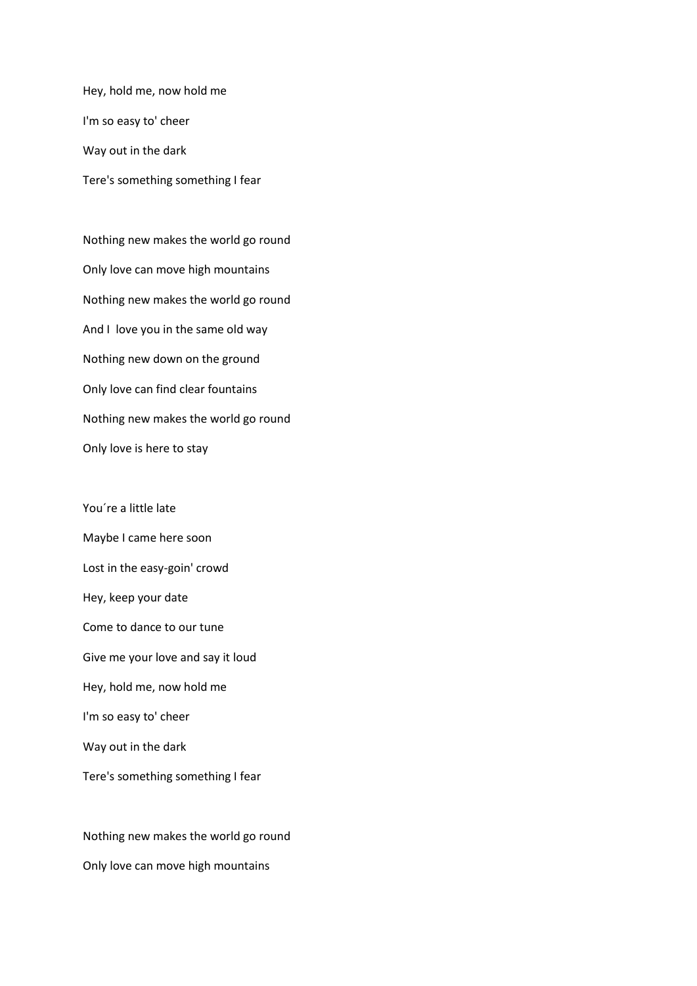Hey, hold me, now hold me I'm so easy to' cheer Way out in the dark Tere's something something I fear

Nothing new makes the world go round Only love can move high mountains Nothing new makes the world go round And I love you in the same old way Nothing new down on the ground Only love can find clear fountains Nothing new makes the world go round Only love is here to stay

Maybe I came here soon Lost in the easy-goin' crowd Hey, keep your date Come to dance to our tune Give me your love and say it loud Hey, hold me, now hold me I'm so easy to' cheer Way out in the dark Tere's something something I fear

You´re a little late

Nothing new makes the world go round Only love can move high mountains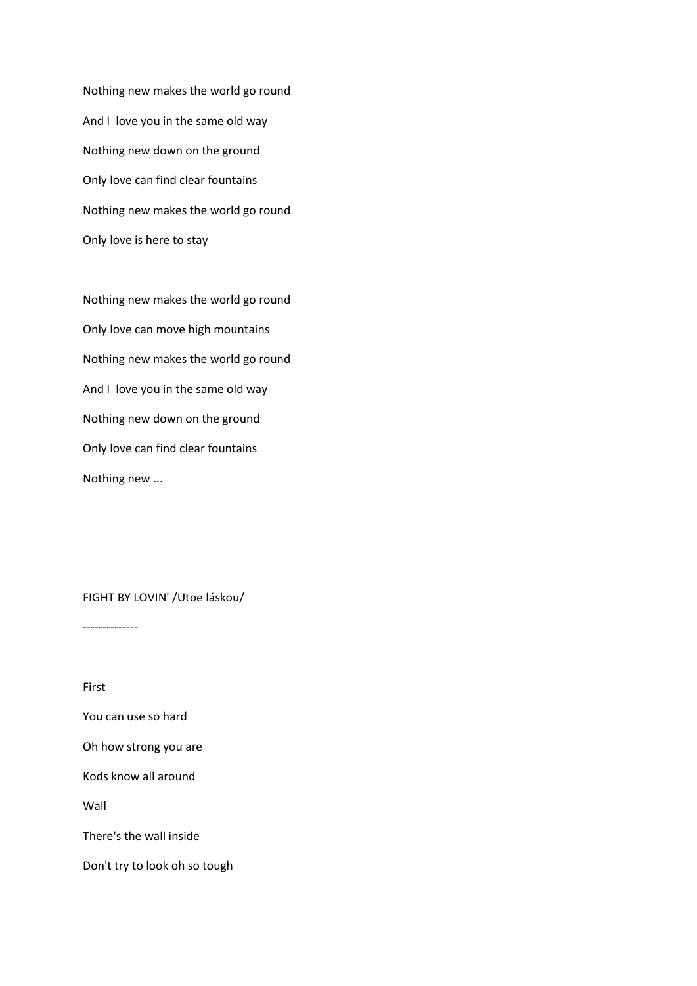Nothing new makes the world go round And I love you in the same old way Nothing new down on the ground Only love can find clear fountains Nothing new makes the world go round Only love is here to stay

Nothing new makes the world go round Only love can move high mountains Nothing new makes the world go round And I love you in the same old way Nothing new down on the ground Only love can find clear fountains Nothing new ...

FIGHT BY LOVIN' /Utoe láskou/

--------------

First

You can use so hard

Oh how strong you are

Kods know all around

Wall

There's the wall inside

Don't try to look oh so tough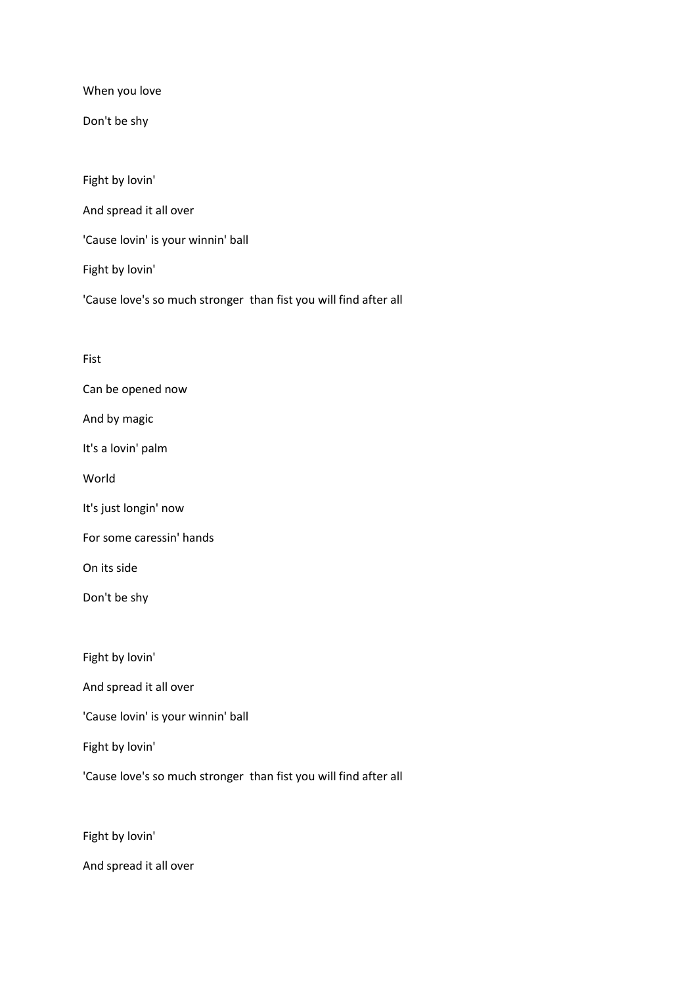When you love

Don't be shy

Fight by lovin'

And spread it all over

'Cause lovin' is your winnin' ball

Fight by lovin'

'Cause love's so much stronger than fist you will find after all

Fist

Can be opened now

And by magic

It's a lovin' palm

World

It's just longin' now

For some caressin' hands

On its side

Don't be shy

Fight by lovin'

And spread it all over

'Cause lovin' is your winnin' ball

Fight by lovin'

'Cause love's so much stronger than fist you will find after all

Fight by lovin'

And spread it all over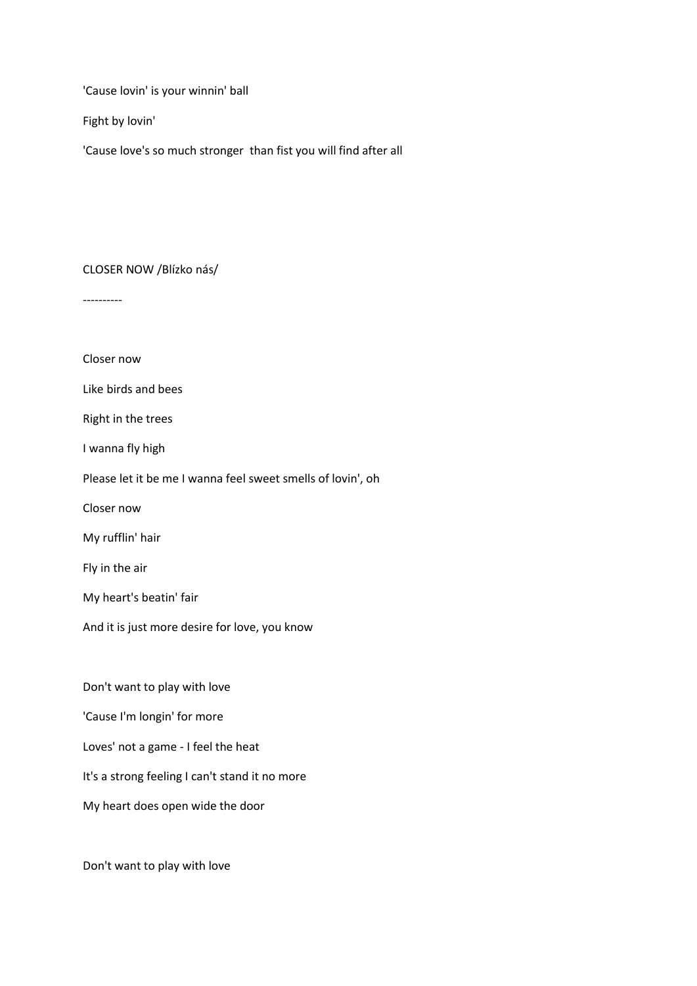'Cause lovin' is your winnin' ball

Fight by lovin'

'Cause love's so much stronger than fist you will find after all

### CLOSER NOW /Blízko nás/

----------

Closer now

Like birds and bees

Right in the trees

I wanna fly high

Please let it be me I wanna feel sweet smells of lovin', oh

Closer now

My rufflin' hair

Fly in the air

My heart's beatin' fair

And it is just more desire for love, you know

Don't want to play with love

'Cause I'm longin' for more

Loves' not a game - I feel the heat

It's a strong feeling I can't stand it no more

My heart does open wide the door

Don't want to play with love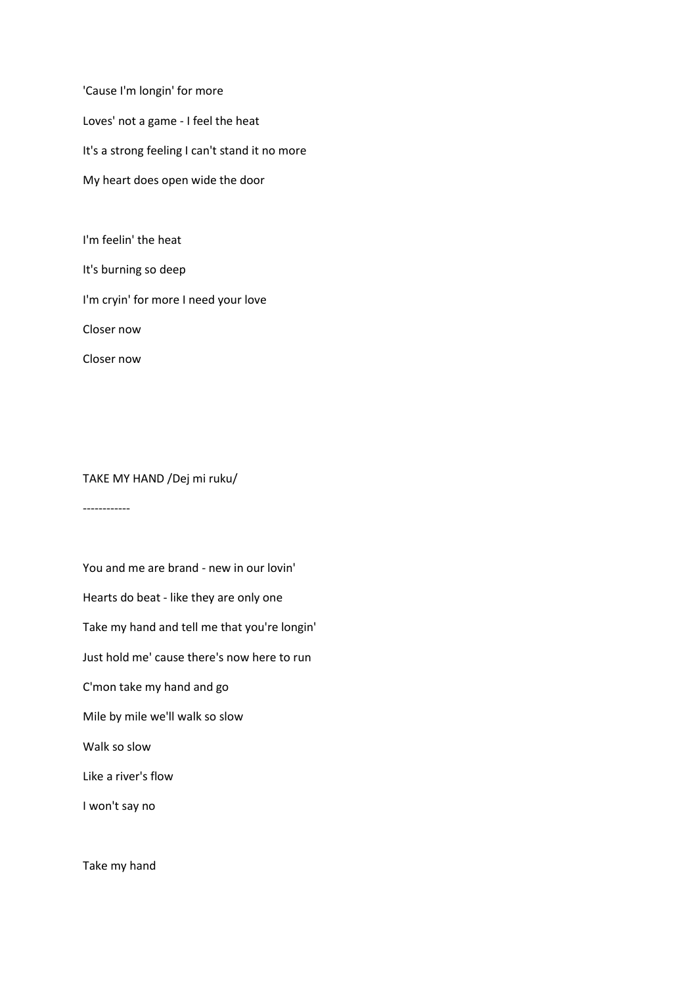'Cause I'm longin' for more Loves' not a game - I feel the heat It's a strong feeling I can't stand it no more My heart does open wide the door

I'm feelin' the heat It's burning so deep I'm cryin' for more I need your love Closer now Closer now

TAKE MY HAND /Dej mi ruku/

------------

You and me are brand - new in our lovin' Hearts do beat - like they are only one Take my hand and tell me that you're longin' Just hold me' cause there's now here to run C'mon take my hand and go Mile by mile we'll walk so slow Walk so slow Like a river's flow I won't say no

Take my hand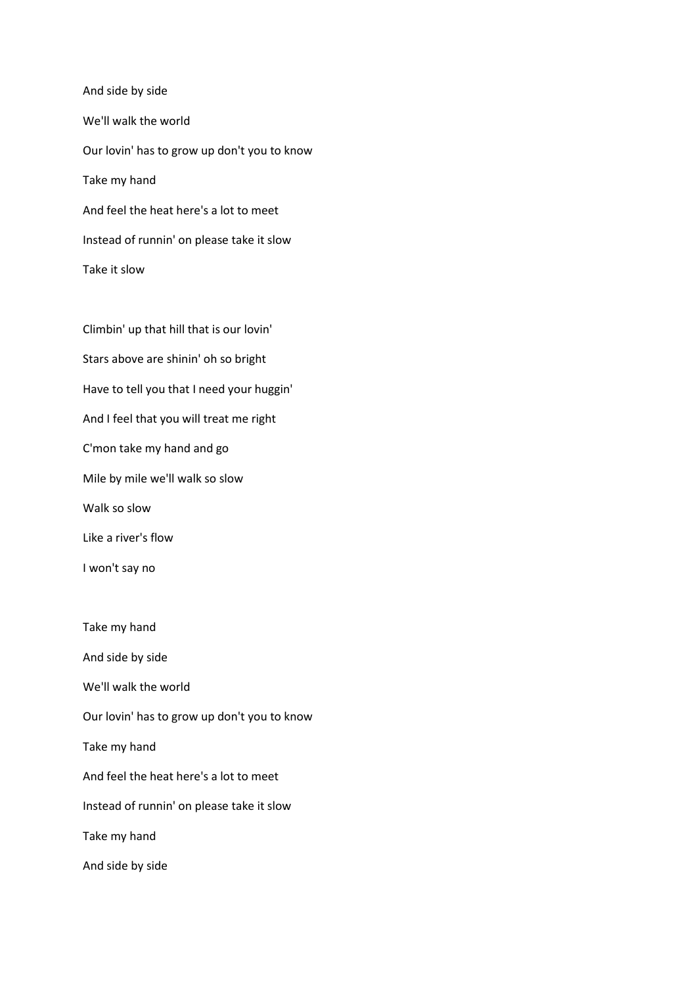And side by side We'll walk the world Our lovin' has to grow up don't you to know Take my hand And feel the heat here's a lot to meet Instead of runnin' on please take it slow Take it slow

Climbin' up that hill that is our lovin' Stars above are shinin' oh so bright Have to tell you that I need your huggin' And I feel that you will treat me right C'mon take my hand and go Mile by mile we'll walk so slow Walk so slow Like a river's flow I won't say no

Take my hand And side by side We'll walk the world Our lovin' has to grow up don't you to know Take my hand And feel the heat here's a lot to meet Instead of runnin' on please take it slow Take my hand And side by side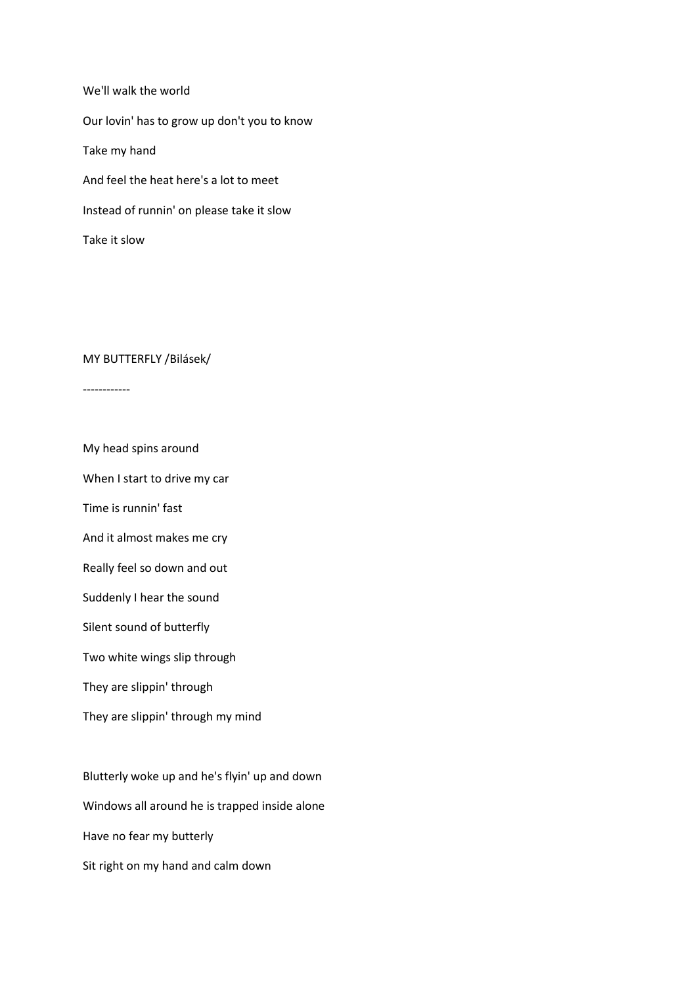We'll walk the world Our lovin' has to grow up don't you to know Take my hand And feel the heat here's a lot to meet Instead of runnin' on please take it slow Take it slow

### MY BUTTERFLY /Bilásek/

------------

My head spins around

When I start to drive my car

Time is runnin' fast

And it almost makes me cry

Really feel so down and out

Suddenly I hear the sound

Silent sound of butterfly

Two white wings slip through

They are slippin' through

They are slippin' through my mind

Blutterly woke up and he's flyin' up and down Windows all around he is trapped inside alone Have no fear my butterly Sit right on my hand and calm down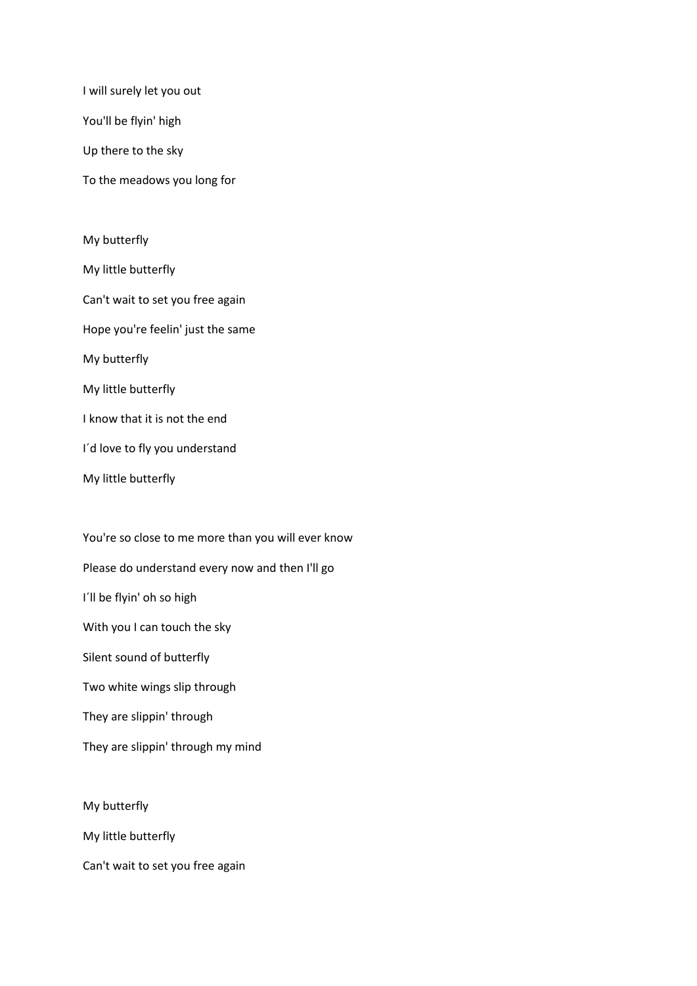I will surely let you out

You'll be flyin' high

Up there to the sky

To the meadows you long for

My butterfly My little butterfly Can't wait to set you free again Hope you're feelin' just the same My butterfly My little butterfly I know that it is not the end I´d love to fly you understand My little butterfly

You're so close to me more than you will ever know Please do understand every now and then I'll go I´ll be flyin' oh so high With you I can touch the sky Silent sound of butterfly Two white wings slip through They are slippin' through They are slippin' through my mind

My butterfly My little butterfly Can't wait to set you free again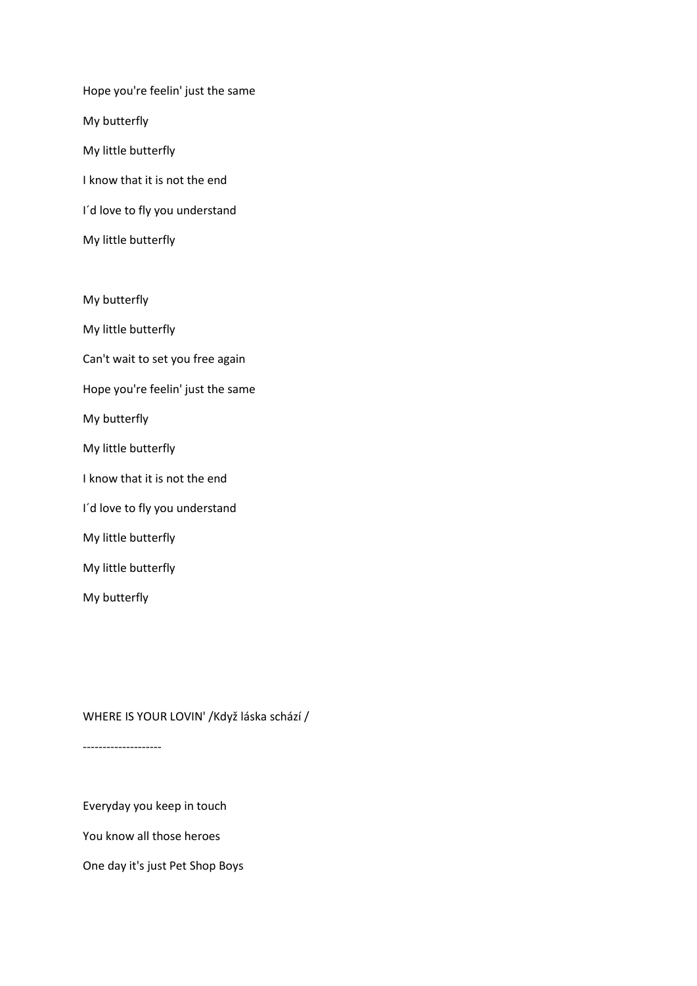Hope you're feelin' just the same My butterfly My little butterfly I know that it is not the end I´d love to fly you understand My little butterfly

My butterfly

My little butterfly

Can't wait to set you free again

Hope you're feelin' just the same

My butterfly

My little butterfly

I know that it is not the end

I´d love to fly you understand

My little butterfly

My little butterfly

My butterfly

WHERE IS YOUR LOVIN' /Když láska schází /

--------------------

Everyday you keep in touch

You know all those heroes

One day it's just Pet Shop Boys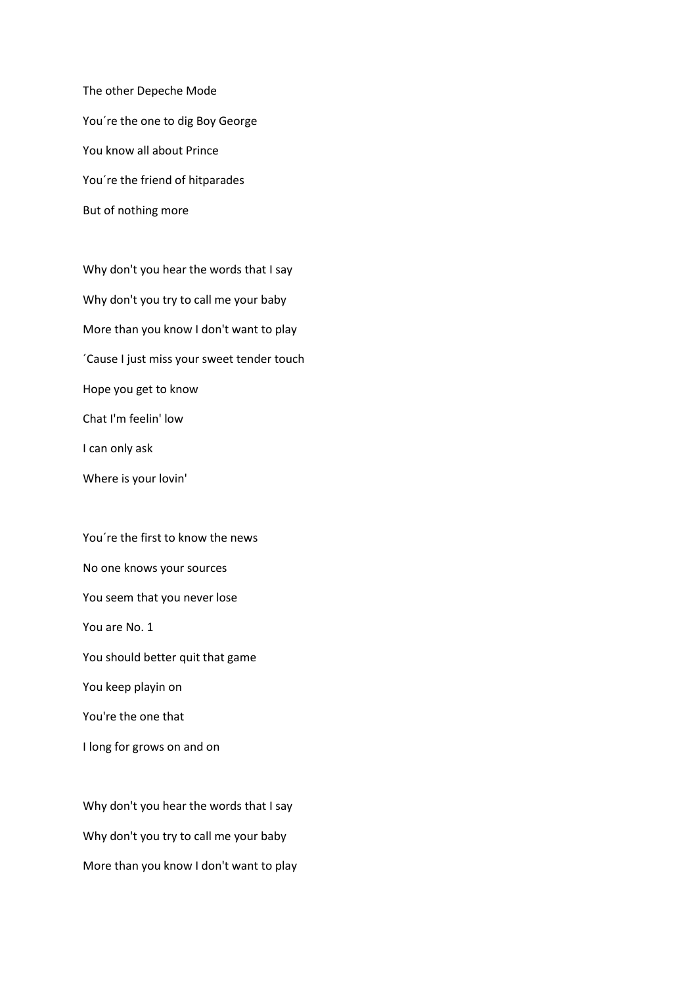The other Depeche Mode You´re the one to dig Boy George You know all about Prince You´re the friend of hitparades But of nothing more

Why don't you hear the words that I say Why don't you try to call me your baby More than you know I don't want to play ´Cause I just miss your sweet tender touch Hope you get to know Chat I'm feelin' low I can only ask Where is your lovin'

You´re the first to know the news No one knows your sources You seem that you never lose You are No. 1 You should better quit that game You keep playin on You're the one that I long for grows on and on

Why don't you hear the words that I say Why don't you try to call me your baby More than you know I don't want to play